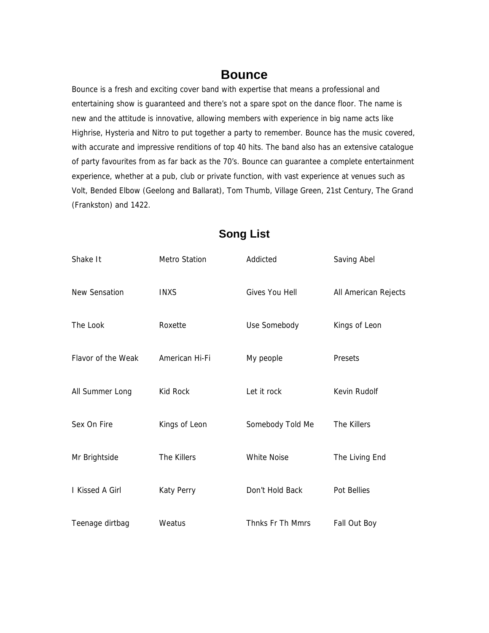## **Bounce**

Bounce is a fresh and exciting cover band with expertise that means a professional and entertaining show is guaranteed and there's not a spare spot on the dance floor. The name is new and the attitude is innovative, allowing members with experience in big name acts like Highrise, Hysteria and Nitro to put together a party to remember. Bounce has the music covered, with accurate and impressive renditions of top 40 hits. The band also has an extensive catalogue of party favourites from as far back as the 70's. Bounce can guarantee a complete entertainment experience, whether at a pub, club or private function, with vast experience at venues such as Volt, Bended Elbow (Geelong and Ballarat), Tom Thumb, Village Green, 21st Century, The Grand (Frankston) and 1422.

| Shake It           | <b>Metro Station</b> | Addicted           | Saving Abel          |
|--------------------|----------------------|--------------------|----------------------|
| New Sensation      | <b>INXS</b>          | Gives You Hell     | All American Rejects |
| The Look           | Roxette              | Use Somebody       | Kings of Leon        |
| Flavor of the Weak | American Hi-Fi       | My people          | Presets              |
| All Summer Long    | Kid Rock             | Let it rock        | Kevin Rudolf         |
| Sex On Fire        | Kings of Leon        | Somebody Told Me   | The Killers          |
| Mr Brightside      | The Killers          | <b>White Noise</b> | The Living End       |
| I Kissed A Girl    | <b>Katy Perry</b>    | Don't Hold Back    | Pot Bellies          |
| Teenage dirtbag    | Weatus               | Thnks Fr Th Mmrs   | Fall Out Boy         |

## **Song List**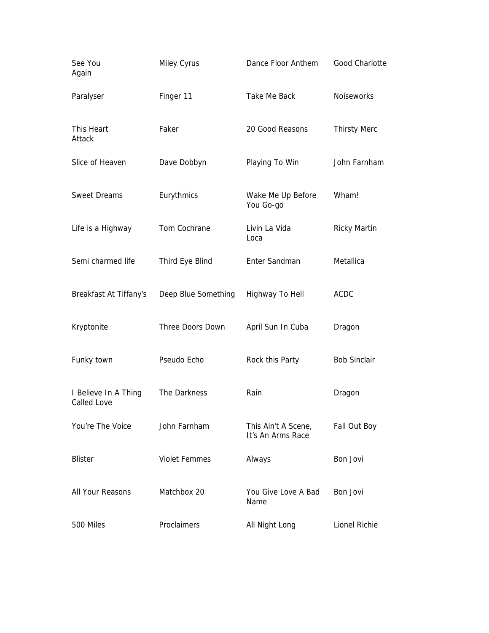| See You<br>Again                    | Miley Cyrus          | Dance Floor Anthem                       | <b>Good Charlotte</b> |
|-------------------------------------|----------------------|------------------------------------------|-----------------------|
| Paralyser                           | Finger 11            | Take Me Back                             | <b>Noiseworks</b>     |
| This Heart<br>Attack                | Faker                | 20 Good Reasons                          | <b>Thirsty Merc</b>   |
| Slice of Heaven                     | Dave Dobbyn          | Playing To Win                           | John Farnham          |
| <b>Sweet Dreams</b>                 | Eurythmics           | Wake Me Up Before<br>You Go-go           | Wham!                 |
| Life is a Highway                   | Tom Cochrane         | Livin La Vida<br>Loca                    | <b>Ricky Martin</b>   |
| Semi charmed life                   | Third Eye Blind      | Enter Sandman                            | Metallica             |
| Breakfast At Tiffany's              | Deep Blue Something  | Highway To Hell                          | <b>ACDC</b>           |
| Kryptonite                          | Three Doors Down     | April Sun In Cuba                        | Dragon                |
| Funky town                          | Pseudo Echo          | Rock this Party                          | <b>Bob Sinclair</b>   |
| I Believe In A Thing<br>Called Love | The Darkness         | Rain                                     | Dragon                |
| You're The Voice                    | John Farnham         | This Ain't A Scene,<br>It's An Arms Race | Fall Out Boy          |
| <b>Blister</b>                      | <b>Violet Femmes</b> | Always                                   | Bon Jovi              |
| All Your Reasons                    | Matchbox 20          | You Give Love A Bad<br>Name              | Bon Jovi              |
| 500 Miles                           | Proclaimers          | All Night Long                           | Lionel Richie         |